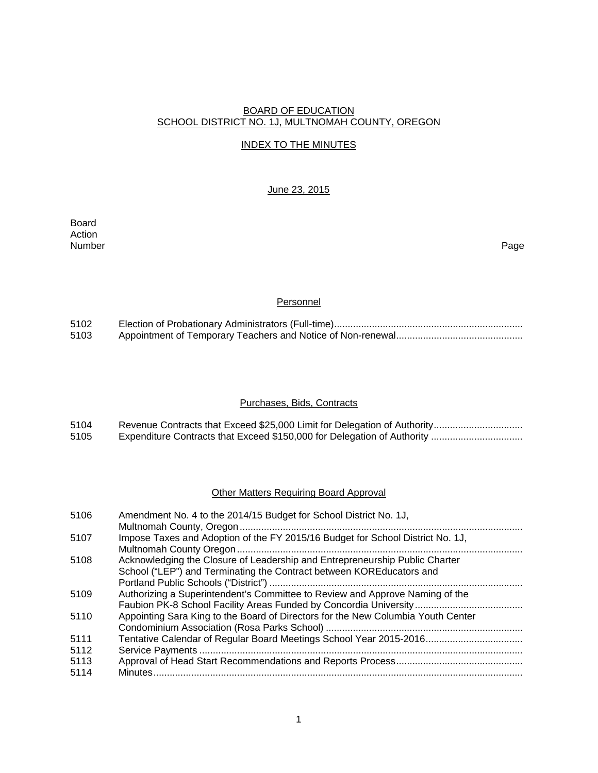## BOARD OF EDUCATION SCHOOL DISTRICT NO. 1J, MULTNOMAH COUNTY, OREGON

## INDEX TO THE MINUTES

## June 23, 2015

Board Action<br>Number Number Page

## **Personnel**

| 5102 |  |
|------|--|
| 5103 |  |

## Purchases, Bids, Contracts

| 5104 |  |
|------|--|
| 5105 |  |

## Other Matters Requiring Board Approval

| 5106 | Amendment No. 4 to the 2014/15 Budget for School District No. 1J,                |
|------|----------------------------------------------------------------------------------|
|      |                                                                                  |
| 5107 | Impose Taxes and Adoption of the FY 2015/16 Budget for School District No. 1J,   |
|      |                                                                                  |
| 5108 | Acknowledging the Closure of Leadership and Entrepreneurship Public Charter      |
|      | School ("LEP") and Terminating the Contract between KORE ducators and            |
|      |                                                                                  |
| 5109 | Authorizing a Superintendent's Committee to Review and Approve Naming of the     |
|      |                                                                                  |
| 5110 | Appointing Sara King to the Board of Directors for the New Columbia Youth Center |
|      |                                                                                  |
| 5111 | Tentative Calendar of Regular Board Meetings School Year 2015-2016               |
| 5112 |                                                                                  |
| 5113 |                                                                                  |
| 5114 |                                                                                  |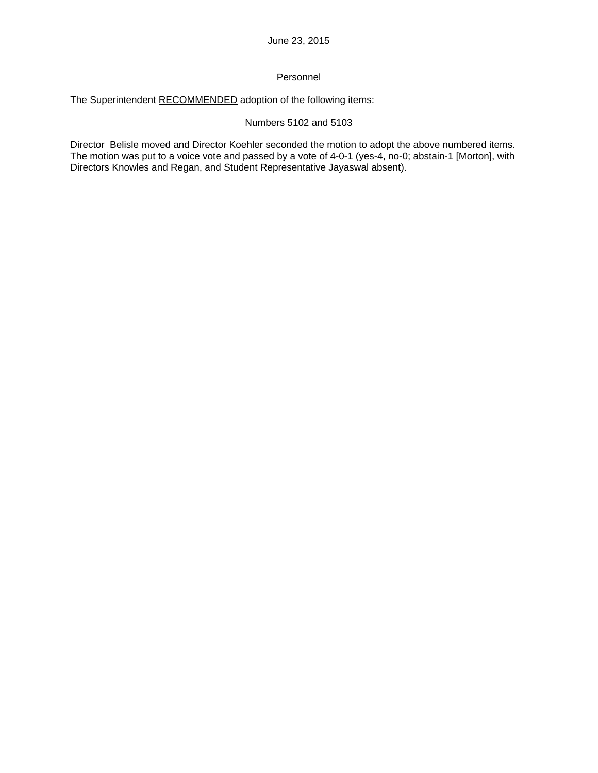## **Personnel**

The Superintendent RECOMMENDED adoption of the following items:

## Numbers 5102 and 5103

Director Belisle moved and Director Koehler seconded the motion to adopt the above numbered items. The motion was put to a voice vote and passed by a vote of 4-0-1 (yes-4, no-0; abstain-1 [Morton], with Directors Knowles and Regan, and Student Representative Jayaswal absent).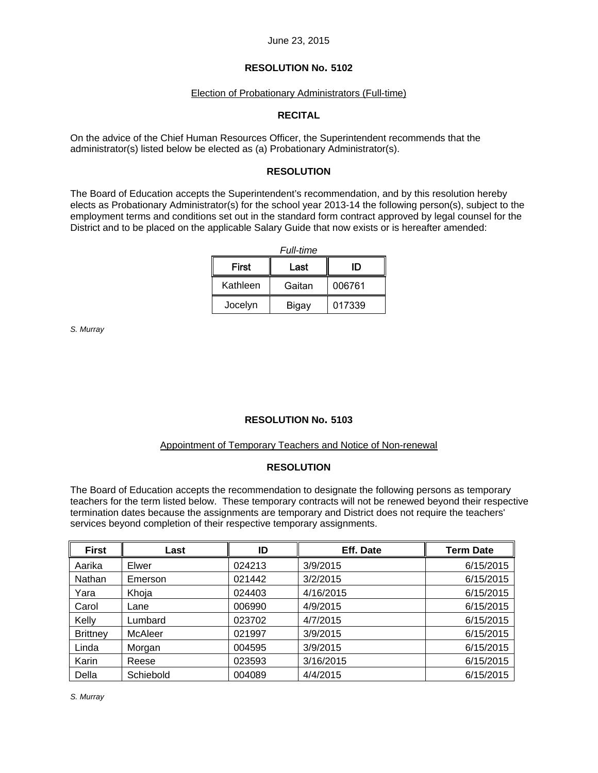## **RESOLUTION No. 5102**

### Election of Probationary Administrators (Full-time)

## **RECITAL**

On the advice of the Chief Human Resources Officer, the Superintendent recommends that the administrator(s) listed below be elected as (a) Probationary Administrator(s).

## **RESOLUTION**

The Board of Education accepts the Superintendent's recommendation, and by this resolution hereby elects as Probationary Administrator(s) for the school year 2013-14 the following person(s), subject to the employment terms and conditions set out in the standard form contract approved by legal counsel for the District and to be placed on the applicable Salary Guide that now exists or is hereafter amended:

| <b>Full-time</b> |        |        |  |  |  |  |  |  |
|------------------|--------|--------|--|--|--|--|--|--|
| <b>First</b>     | ID     |        |  |  |  |  |  |  |
| Kathleen         | Gaitan | 006761 |  |  |  |  |  |  |
| Jocelyn          | Bigay  | 017339 |  |  |  |  |  |  |

*S. Murray* 

## **RESOLUTION No. 5103**

### Appointment of Temporary Teachers and Notice of Non-renewal

## **RESOLUTION**

The Board of Education accepts the recommendation to designate the following persons as temporary teachers for the term listed below. These temporary contracts will not be renewed beyond their respective termination dates because the assignments are temporary and District does not require the teachers' services beyond completion of their respective temporary assignments.

| <b>First</b>    | Last           | ID     | Eff. Date | <b>Term Date</b> |
|-----------------|----------------|--------|-----------|------------------|
| Aarika          | Elwer          | 024213 | 3/9/2015  | 6/15/2015        |
| Nathan          | Emerson        | 021442 | 3/2/2015  | 6/15/2015        |
| Yara            | Khoja          | 024403 | 4/16/2015 | 6/15/2015        |
| Carol           | Lane           | 006990 | 4/9/2015  | 6/15/2015        |
| Kelly           | Lumbard        | 023702 | 4/7/2015  | 6/15/2015        |
| <b>Brittney</b> | <b>McAleer</b> | 021997 | 3/9/2015  | 6/15/2015        |
| Linda           | Morgan         | 004595 | 3/9/2015  | 6/15/2015        |
| Karin           | Reese          | 023593 | 3/16/2015 | 6/15/2015        |
| Della           | Schiebold      | 004089 | 4/4/2015  | 6/15/2015        |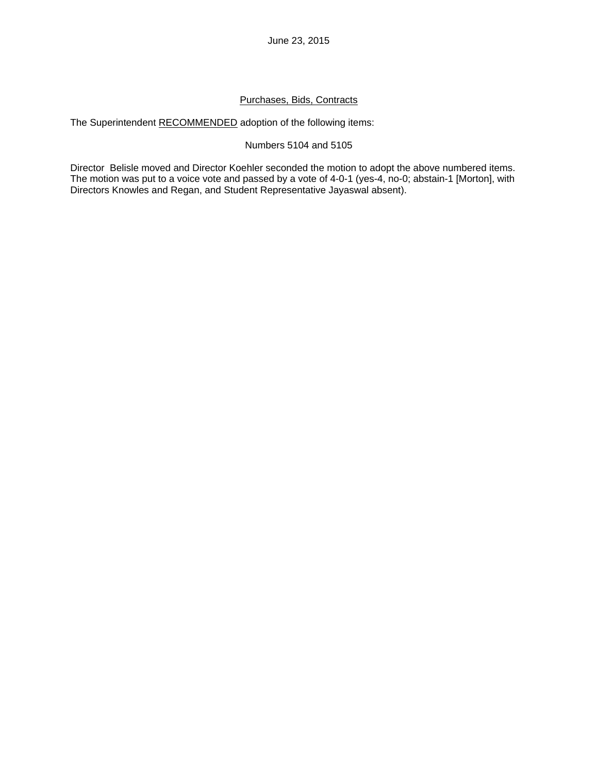## Purchases, Bids, Contracts

The Superintendent RECOMMENDED adoption of the following items:

## Numbers 5104 and 5105

Director Belisle moved and Director Koehler seconded the motion to adopt the above numbered items. The motion was put to a voice vote and passed by a vote of 4-0-1 (yes-4, no-0; abstain-1 [Morton], with Directors Knowles and Regan, and Student Representative Jayaswal absent).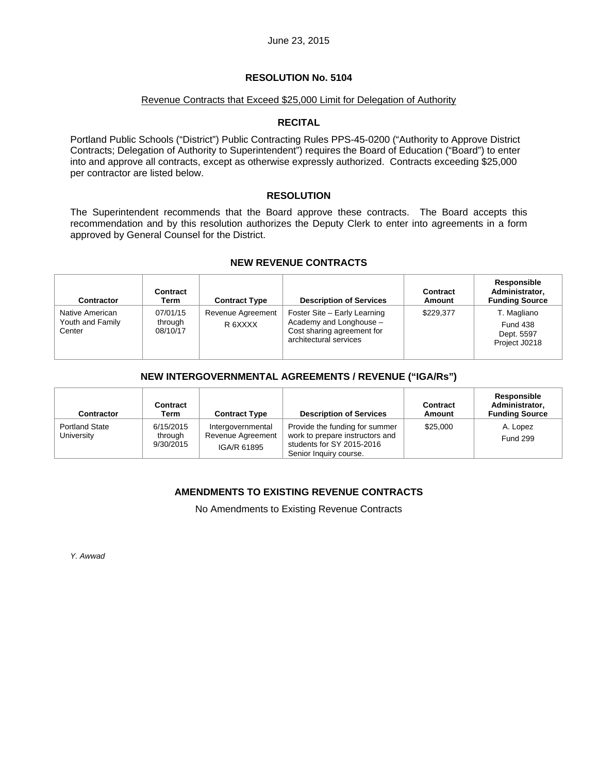## **RESOLUTION No. 5104**

### Revenue Contracts that Exceed \$25,000 Limit for Delegation of Authority

## **RECITAL**

Portland Public Schools ("District") Public Contracting Rules PPS-45-0200 ("Authority to Approve District Contracts; Delegation of Authority to Superintendent") requires the Board of Education ("Board") to enter into and approve all contracts, except as otherwise expressly authorized. Contracts exceeding \$25,000 per contractor are listed below.

### **RESOLUTION**

The Superintendent recommends that the Board approve these contracts. The Board accepts this recommendation and by this resolution authorizes the Deputy Clerk to enter into agreements in a form approved by General Counsel for the District.

## **NEW REVENUE CONTRACTS**

| <b>Contractor</b>                             | Contract<br>Term                | <b>Contract Type</b>         | <b>Description of Services</b>                                                                                  | Contract<br>Amount | Responsible<br>Administrator,<br><b>Funding Source</b>        |
|-----------------------------------------------|---------------------------------|------------------------------|-----------------------------------------------------------------------------------------------------------------|--------------------|---------------------------------------------------------------|
| Native American<br>Youth and Family<br>Center | 07/01/15<br>through<br>08/10/17 | Revenue Agreement<br>R 6XXXX | Foster Site - Early Learning<br>Academy and Longhouse -<br>Cost sharing agreement for<br>architectural services | \$229.377          | T. Magliano<br><b>Fund 438</b><br>Dept. 5597<br>Project J0218 |

## **NEW INTERGOVERNMENTAL AGREEMENTS / REVENUE ("IGA/Rs")**

| <b>Contractor</b>                   | Contract<br>Term                  | <b>Contract Type</b>                                  | <b>Description of Services</b>                                                                                           | <b>Contract</b><br>Amount | Responsible<br>Administrator,<br><b>Funding Source</b> |
|-------------------------------------|-----------------------------------|-------------------------------------------------------|--------------------------------------------------------------------------------------------------------------------------|---------------------------|--------------------------------------------------------|
| <b>Portland State</b><br>University | 6/15/2015<br>through<br>9/30/2015 | Intergovernmental<br>Revenue Agreement<br>IGA/R 61895 | Provide the funding for summer<br>work to prepare instructors and<br>students for SY 2015-2016<br>Senior Inquiry course. | \$25,000                  | A. Lopez<br><b>Fund 299</b>                            |

## **AMENDMENTS TO EXISTING REVENUE CONTRACTS**

No Amendments to Existing Revenue Contracts

*Y. Awwad*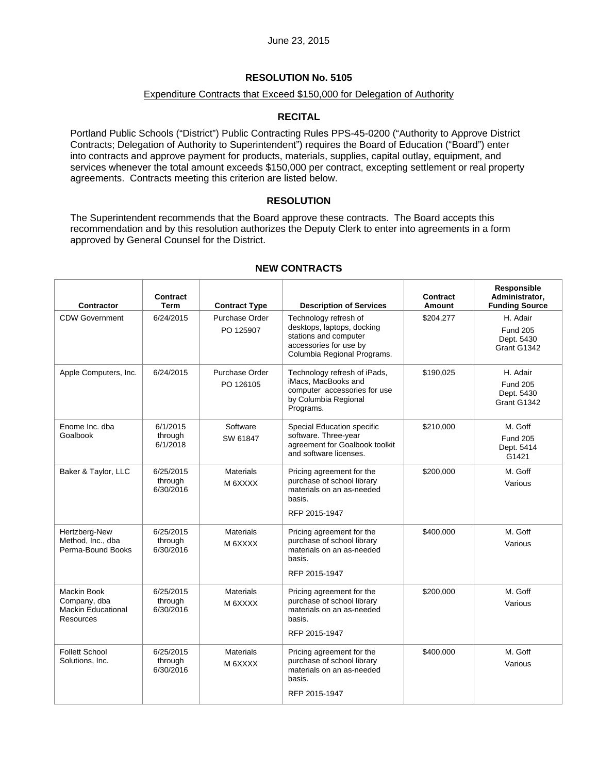## **RESOLUTION No. 5105**

## Expenditure Contracts that Exceed \$150,000 for Delegation of Authority

### **RECITAL**

Portland Public Schools ("District") Public Contracting Rules PPS-45-0200 ("Authority to Approve District Contracts; Delegation of Authority to Superintendent") requires the Board of Education ("Board") enter into contracts and approve payment for products, materials, supplies, capital outlay, equipment, and services whenever the total amount exceeds \$150,000 per contract, excepting settlement or real property agreements. Contracts meeting this criterion are listed below.

### **RESOLUTION**

The Superintendent recommends that the Board approve these contracts. The Board accepts this recommendation and by this resolution authorizes the Deputy Clerk to enter into agreements in a form approved by General Counsel for the District.

| <b>Contractor</b>                                                                   | Contract<br>Term                  | <b>Contract Type</b>        | <b>Description of Services</b>                                                                                                        | Contract<br>Amount | Responsible<br>Administrator,<br><b>Funding Source</b>   |
|-------------------------------------------------------------------------------------|-----------------------------------|-----------------------------|---------------------------------------------------------------------------------------------------------------------------------------|--------------------|----------------------------------------------------------|
| <b>CDW Government</b>                                                               | 6/24/2015                         | Purchase Order<br>PO 125907 | Technology refresh of<br>desktops, laptops, docking<br>stations and computer<br>accessories for use by<br>Columbia Regional Programs. | \$204,277          | H. Adair<br><b>Fund 205</b><br>Dept. 5430<br>Grant G1342 |
| Apple Computers, Inc.                                                               | 6/24/2015                         | Purchase Order<br>PO 126105 | Technology refresh of iPads,<br>iMacs, MacBooks and<br>computer accessories for use<br>by Columbia Regional<br>Programs.              | \$190,025          | H. Adair<br><b>Fund 205</b><br>Dept. 5430<br>Grant G1342 |
| Enome Inc. dba<br>Goalbook                                                          | 6/1/2015<br>through<br>6/1/2018   | Software<br>SW 61847        | Special Education specific<br>software. Three-year<br>agreement for Goalbook toolkit<br>and software licenses.                        | \$210,000          | M. Goff<br><b>Fund 205</b><br>Dept. 5414<br>G1421        |
| Baker & Taylor, LLC                                                                 | 6/25/2015<br>through<br>6/30/2016 | <b>Materials</b><br>M 6XXXX | Pricing agreement for the<br>purchase of school library<br>materials on an as-needed<br>basis.<br>RFP 2015-1947                       | \$200,000          | M. Goff<br>Various                                       |
| Hertzberg-New<br>Method, Inc., dba<br>Perma-Bound Books                             | 6/25/2015<br>through<br>6/30/2016 | <b>Materials</b><br>M 6XXXX | Pricing agreement for the<br>purchase of school library<br>materials on an as-needed<br>basis.<br>RFP 2015-1947                       | \$400,000          | M. Goff<br>Various                                       |
| <b>Mackin Book</b><br>Company, dba<br><b>Mackin Educational</b><br><b>Resources</b> | 6/25/2015<br>through<br>6/30/2016 | <b>Materials</b><br>M 6XXXX | Pricing agreement for the<br>purchase of school library<br>materials on an as-needed<br>basis.<br>RFP 2015-1947                       | \$200,000          | M. Goff<br>Various                                       |
| <b>Follett School</b><br>Solutions, Inc.                                            | 6/25/2015<br>through<br>6/30/2016 | <b>Materials</b><br>M 6XXXX | Pricing agreement for the<br>purchase of school library<br>materials on an as-needed<br>basis.<br>RFP 2015-1947                       | \$400,000          | M. Goff<br>Various                                       |

## **NEW CONTRACTS**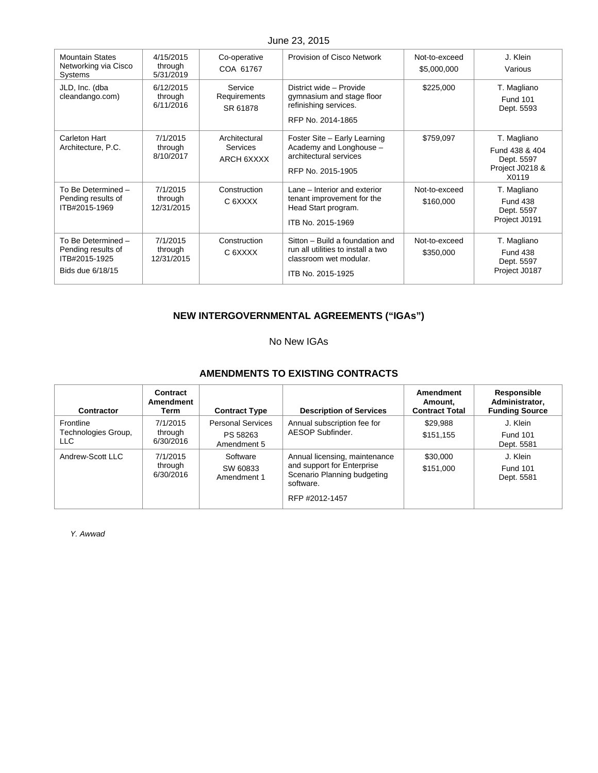| <b>Mountain States</b><br>Networking via Cisco<br>Systems                     | 4/15/2015<br>through<br>5/31/2019 | Co-operative<br>COA 61767               | Provision of Cisco Network                                                                                           | Not-to-exceed<br>\$5,000,000 | J. Klein<br>Various                                                     |
|-------------------------------------------------------------------------------|-----------------------------------|-----------------------------------------|----------------------------------------------------------------------------------------------------------------------|------------------------------|-------------------------------------------------------------------------|
| JLD, Inc. (dba<br>cleandango.com)                                             | 6/12/2015<br>through<br>6/11/2016 | Service<br>Requirements<br>SR 61878     | District wide - Provide<br>gymnasium and stage floor<br>refinishing services.<br>RFP No. 2014-1865                   | \$225,000                    | T. Magliano<br><b>Fund 101</b><br>Dept. 5593                            |
| Carleton Hart<br>Architecture, P.C.                                           | 7/1/2015<br>through<br>8/10/2017  | Architectural<br>Services<br>ARCH 6XXXX | Foster Site - Early Learning<br>Academy and Longhouse -<br>architectural services<br>RFP No. 2015-1905               | \$759,097                    | T. Magliano<br>Fund 438 & 404<br>Dept. 5597<br>Project J0218 &<br>X0119 |
| To Be Determined -<br>Pending results of<br>ITB#2015-1969                     | 7/1/2015<br>through<br>12/31/2015 | Construction<br>C 6XXXX                 | Lane – Interior and exterior<br>tenant improvement for the<br>Head Start program.<br>ITB No. 2015-1969               | Not-to-exceed<br>\$160,000   | T. Magliano<br><b>Fund 438</b><br>Dept. 5597<br>Project J0191           |
| To Be Determined -<br>Pending results of<br>ITB#2015-1925<br>Bids due 6/18/15 | 7/1/2015<br>through<br>12/31/2015 | Construction<br>C 6XXXX                 | Sitton - Build a foundation and<br>run all utilities to install a two<br>classroom wet modular.<br>ITB No. 2015-1925 | Not-to-exceed<br>\$350,000   | T. Magliano<br><b>Fund 438</b><br>Dept. 5597<br>Project J0187           |

# **NEW INTERGOVERNMENTAL AGREEMENTS ("IGAs")**

## No New IGAs

## **AMENDMENTS TO EXISTING CONTRACTS**

| Contractor                               | Contract<br>Amendment<br>Term    | <b>Contract Type</b>                                | <b>Description of Services</b>                                                                                            | Amendment<br>Amount,<br><b>Contract Total</b> | Responsible<br>Administrator,<br><b>Funding Source</b> |
|------------------------------------------|----------------------------------|-----------------------------------------------------|---------------------------------------------------------------------------------------------------------------------------|-----------------------------------------------|--------------------------------------------------------|
| Frontline<br>Technologies Group,<br>LLC. | 7/1/2015<br>through<br>6/30/2016 | <b>Personal Services</b><br>PS 58263<br>Amendment 5 | Annual subscription fee for<br>AESOP Subfinder.                                                                           | \$29,988<br>\$151,155                         | J. Klein<br><b>Fund 101</b><br>Dept. 5581              |
| Andrew-Scott LLC                         | 7/1/2015<br>through<br>6/30/2016 | Software<br>SW 60833<br>Amendment 1                 | Annual licensing, maintenance<br>and support for Enterprise<br>Scenario Planning budgeting<br>software.<br>RFP #2012-1457 | \$30,000<br>\$151,000                         | J. Klein<br><b>Fund 101</b><br>Dept. 5581              |

*Y. Awwad*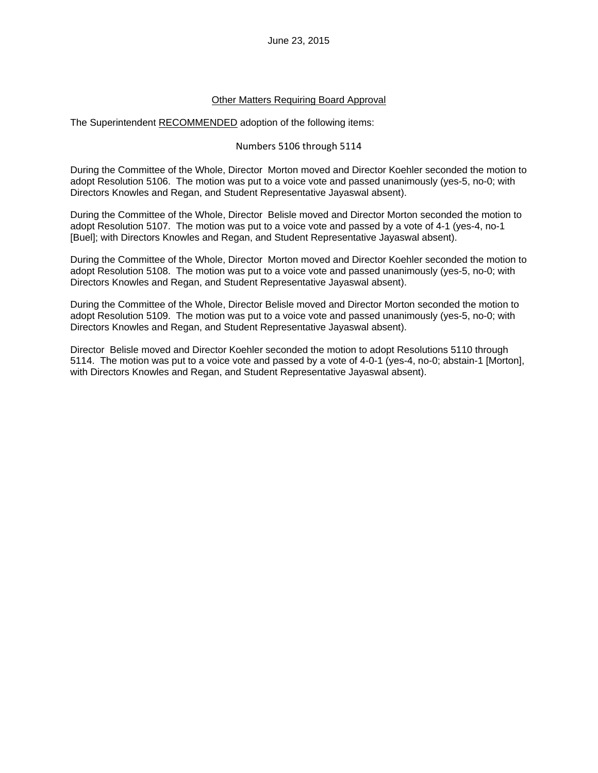## Other Matters Requiring Board Approval

The Superintendent RECOMMENDED adoption of the following items:

## Numbers 5106 through 5114

During the Committee of the Whole, Director Morton moved and Director Koehler seconded the motion to adopt Resolution 5106. The motion was put to a voice vote and passed unanimously (yes-5, no-0; with Directors Knowles and Regan, and Student Representative Jayaswal absent).

During the Committee of the Whole, Director Belisle moved and Director Morton seconded the motion to adopt Resolution 5107. The motion was put to a voice vote and passed by a vote of 4-1 (yes-4, no-1 [Buel]; with Directors Knowles and Regan, and Student Representative Jayaswal absent).

During the Committee of the Whole, Director Morton moved and Director Koehler seconded the motion to adopt Resolution 5108. The motion was put to a voice vote and passed unanimously (yes-5, no-0; with Directors Knowles and Regan, and Student Representative Jayaswal absent).

During the Committee of the Whole, Director Belisle moved and Director Morton seconded the motion to adopt Resolution 5109. The motion was put to a voice vote and passed unanimously (yes-5, no-0; with Directors Knowles and Regan, and Student Representative Jayaswal absent).

Director Belisle moved and Director Koehler seconded the motion to adopt Resolutions 5110 through 5114. The motion was put to a voice vote and passed by a vote of 4-0-1 (yes-4, no-0; abstain-1 [Morton], with Directors Knowles and Regan, and Student Representative Jayaswal absent).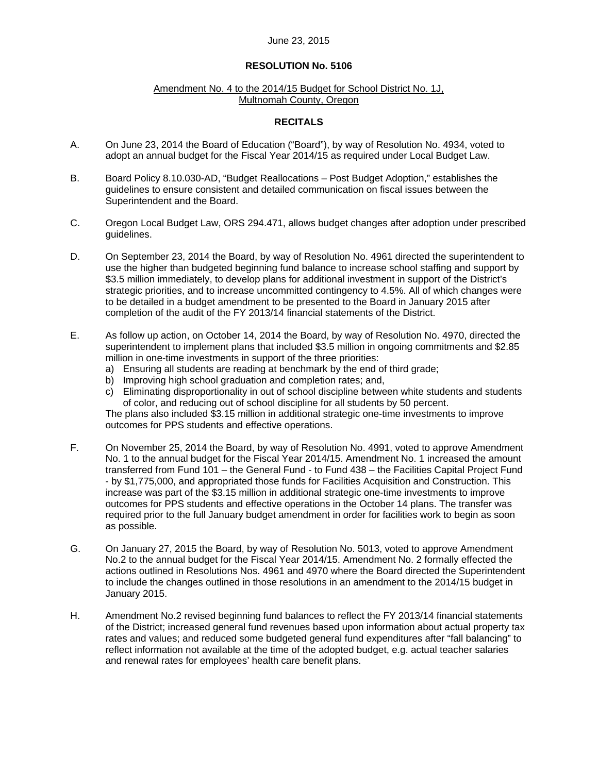### **RESOLUTION No. 5106**

#### Amendment No. 4 to the 2014/15 Budget for School District No. 1J, Multnomah County, Oregon

## **RECITALS**

- A. On June 23, 2014 the Board of Education ("Board"), by way of Resolution No. 4934, voted to adopt an annual budget for the Fiscal Year 2014/15 as required under Local Budget Law.
- B. Board Policy 8.10.030-AD, "Budget Reallocations Post Budget Adoption," establishes the guidelines to ensure consistent and detailed communication on fiscal issues between the Superintendent and the Board.
- C. Oregon Local Budget Law, ORS 294.471, allows budget changes after adoption under prescribed guidelines.
- D. On September 23, 2014 the Board, by way of Resolution No. 4961 directed the superintendent to use the higher than budgeted beginning fund balance to increase school staffing and support by \$3.5 million immediately, to develop plans for additional investment in support of the District's strategic priorities, and to increase uncommitted contingency to 4.5%. All of which changes were to be detailed in a budget amendment to be presented to the Board in January 2015 after completion of the audit of the FY 2013/14 financial statements of the District.
- E. As follow up action, on October 14, 2014 the Board, by way of Resolution No. 4970, directed the superintendent to implement plans that included \$3.5 million in ongoing commitments and \$2.85 million in one-time investments in support of the three priorities:
	- a) Ensuring all students are reading at benchmark by the end of third grade;
	- b) Improving high school graduation and completion rates; and,
	- c) Eliminating disproportionality in out of school discipline between white students and students of color, and reducing out of school discipline for all students by 50 percent.

The plans also included \$3.15 million in additional strategic one-time investments to improve outcomes for PPS students and effective operations.

- F. On November 25, 2014 the Board, by way of Resolution No. 4991, voted to approve Amendment No. 1 to the annual budget for the Fiscal Year 2014/15. Amendment No. 1 increased the amount transferred from Fund 101 – the General Fund - to Fund 438 – the Facilities Capital Project Fund - by \$1,775,000, and appropriated those funds for Facilities Acquisition and Construction. This increase was part of the \$3.15 million in additional strategic one-time investments to improve outcomes for PPS students and effective operations in the October 14 plans. The transfer was required prior to the full January budget amendment in order for facilities work to begin as soon as possible.
- G. On January 27, 2015 the Board, by way of Resolution No. 5013, voted to approve Amendment No.2 to the annual budget for the Fiscal Year 2014/15. Amendment No. 2 formally effected the actions outlined in Resolutions Nos. 4961 and 4970 where the Board directed the Superintendent to include the changes outlined in those resolutions in an amendment to the 2014/15 budget in January 2015.
- H. Amendment No.2 revised beginning fund balances to reflect the FY 2013/14 financial statements of the District; increased general fund revenues based upon information about actual property tax rates and values; and reduced some budgeted general fund expenditures after "fall balancing" to reflect information not available at the time of the adopted budget, e.g. actual teacher salaries and renewal rates for employees' health care benefit plans.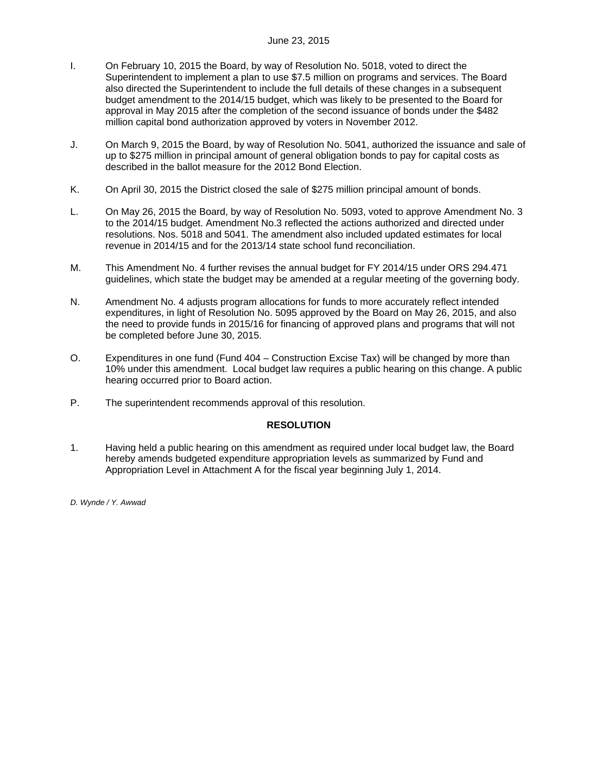- I. On February 10, 2015 the Board, by way of Resolution No. 5018, voted to direct the Superintendent to implement a plan to use \$7.5 million on programs and services. The Board also directed the Superintendent to include the full details of these changes in a subsequent budget amendment to the 2014/15 budget, which was likely to be presented to the Board for approval in May 2015 after the completion of the second issuance of bonds under the \$482 million capital bond authorization approved by voters in November 2012.
- J. On March 9, 2015 the Board, by way of Resolution No. 5041, authorized the issuance and sale of up to \$275 million in principal amount of general obligation bonds to pay for capital costs as described in the ballot measure for the 2012 Bond Election.
- K. On April 30, 2015 the District closed the sale of \$275 million principal amount of bonds.
- L. On May 26, 2015 the Board, by way of Resolution No. 5093, voted to approve Amendment No. 3 to the 2014/15 budget. Amendment No.3 reflected the actions authorized and directed under resolutions. Nos. 5018 and 5041. The amendment also included updated estimates for local revenue in 2014/15 and for the 2013/14 state school fund reconciliation.
- M. This Amendment No. 4 further revises the annual budget for FY 2014/15 under ORS 294.471 guidelines, which state the budget may be amended at a regular meeting of the governing body.
- N. Amendment No. 4 adjusts program allocations for funds to more accurately reflect intended expenditures, in light of Resolution No. 5095 approved by the Board on May 26, 2015, and also the need to provide funds in 2015/16 for financing of approved plans and programs that will not be completed before June 30, 2015.
- O. Expenditures in one fund (Fund 404 Construction Excise Tax) will be changed by more than 10% under this amendment. Local budget law requires a public hearing on this change. A public hearing occurred prior to Board action.
- P. The superintendent recommends approval of this resolution.

## **RESOLUTION**

1. Having held a public hearing on this amendment as required under local budget law, the Board hereby amends budgeted expenditure appropriation levels as summarized by Fund and Appropriation Level in Attachment A for the fiscal year beginning July 1, 2014.

*D. Wynde / Y. Awwad*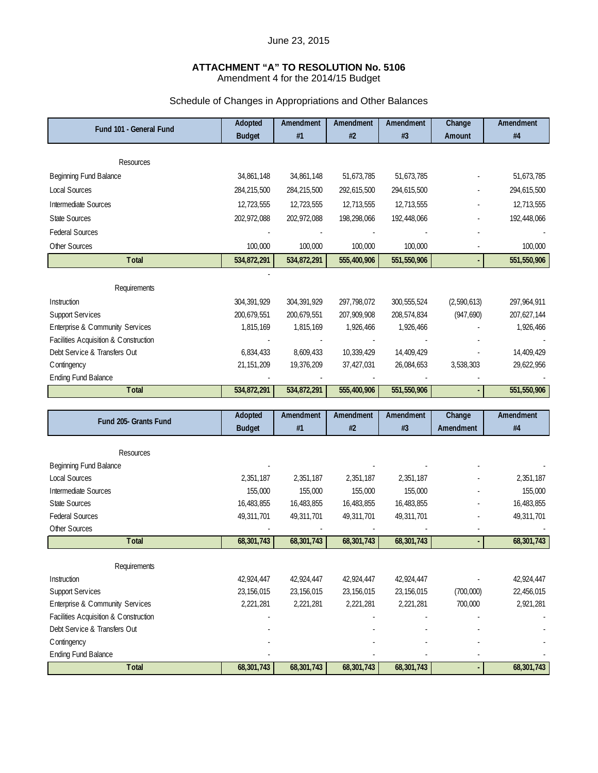# **ATTACHMENT "A" TO RESOLUTION No. 5106**

Amendment 4 for the 2014/15 Budget

# Schedule of Changes in Appropriations and Other Balances

| Fund 101 - General Fund                        | Adopted              | Amendment     | Amendment            | Amendment     | Change      | Amendment   |
|------------------------------------------------|----------------------|---------------|----------------------|---------------|-------------|-------------|
|                                                | <b>Budget</b>        | #1            | #2                   | #3            | Amount      | #4          |
|                                                |                      |               |                      |               |             |             |
| Resources                                      |                      |               |                      |               |             |             |
| Beginning Fund Balance                         | 34,861,148           | 34,861,148    | 51,673,785           | 51,673,785    |             | 51,673,785  |
| <b>Local Sources</b>                           | 284,215,500          | 284,215,500   | 292,615,500          | 294,615,500   |             | 294,615,500 |
| Intermediate Sources                           | 12,723,555           | 12,723,555    | 12,713,555           | 12,713,555    |             | 12,713,555  |
| <b>State Sources</b>                           | 202,972,088          | 202,972,088   | 198,298,066          | 192,448,066   |             | 192,448,066 |
| <b>Federal Sources</b>                         |                      |               |                      |               |             |             |
| Other Sources                                  | 100,000              | 100,000       | 100,000              | 100,000       |             | 100,000     |
| <b>Total</b>                                   | 534,872,291          | 534,872,291   | 555,400,906          | 551,550,906   |             | 551,550,906 |
|                                                |                      |               |                      |               |             |             |
| Requirements                                   |                      |               |                      |               |             |             |
| Instruction                                    | 304, 391, 929        | 304, 391, 929 | 297,798,072          | 300, 555, 524 | (2,590,613) | 297,964,911 |
| <b>Support Services</b>                        | 200,679,551          | 200,679,551   | 207,909,908          | 208,574,834   | (947, 690)  | 207,627,144 |
| Enterprise & Community Services                | 1,815,169            | 1,815,169     | 1,926,466            | 1,926,466     |             | 1,926,466   |
| Facilities Acquisition & Construction          |                      |               |                      |               |             |             |
| Debt Service & Transfers Out                   | 6,834,433            | 8,609,433     | 10,339,429           | 14,409,429    |             | 14,409,429  |
| C ontingency                                   | 21, 151, 209         | 19,376,209    | 37,427,031           | 26,084,653    | 3,538,303   | 29,622,956  |
| <b>Ending Fund Balance</b>                     |                      |               |                      |               |             |             |
| <b>Total</b>                                   | 534,872,291          | 534,872,291   | 555,400,906          | 551,550,906   |             | 551,550,906 |
|                                                |                      |               |                      |               |             |             |
|                                                |                      |               |                      |               |             |             |
| Fund 205- Grants Fund                          | Adopted              | Amendment     | Amendment            | Amendment     | Change      | Amendment   |
|                                                | <b>Budget</b>        | #1            | #2                   | #3            | Amendment   | #4          |
|                                                |                      |               |                      |               |             |             |
| Resources                                      |                      |               |                      |               |             |             |
| Beginning Fund Balance<br><b>Local Sources</b> |                      | 2,351,187     |                      | 2,351,187     |             | 2,351,187   |
| Intermediate Sources                           | 2,351,187<br>155,000 | 155,000       | 2,351,187<br>155,000 | 155,000       |             | 155,000     |
| <b>State Sources</b>                           | 16,483,855           | 16,483,855    | 16,483,855           | 16,483,855    |             | 16,483,855  |
| <b>Federal Sources</b>                         | 49,311,701           | 49,311,701    | 49,311,701           | 49,311,701    |             | 49,311,701  |
| Other Sources                                  |                      |               |                      |               |             |             |
| <b>Total</b>                                   | 68,301,743           | 68,301,743    | 68,301,743           | 68,301,743    |             | 68,301,743  |
|                                                |                      |               |                      |               |             |             |
| Requirements                                   |                      |               |                      |               |             |             |
| Instruction                                    | 42,924,447           | 42,924,447    | 42,924,447           | 42,924,447    |             | 42,924,447  |
| <b>Support Services</b>                        | 23, 156, 015         | 23, 156, 015  | 23,156,015           | 23, 156, 015  | (700,000)   | 22,456,015  |
| Enterprise & Community Services                | 2,221,281            | 2,221,281     | 2,221,281            | 2,221,281     | 700,000     | 2,921,281   |
| Facilities Acquisition & Construction          |                      |               |                      |               |             |             |
| Debt Service & Transfers Out                   |                      |               |                      |               |             |             |
| C ontingency<br><b>Ending Fund Balance</b>     |                      |               |                      |               |             |             |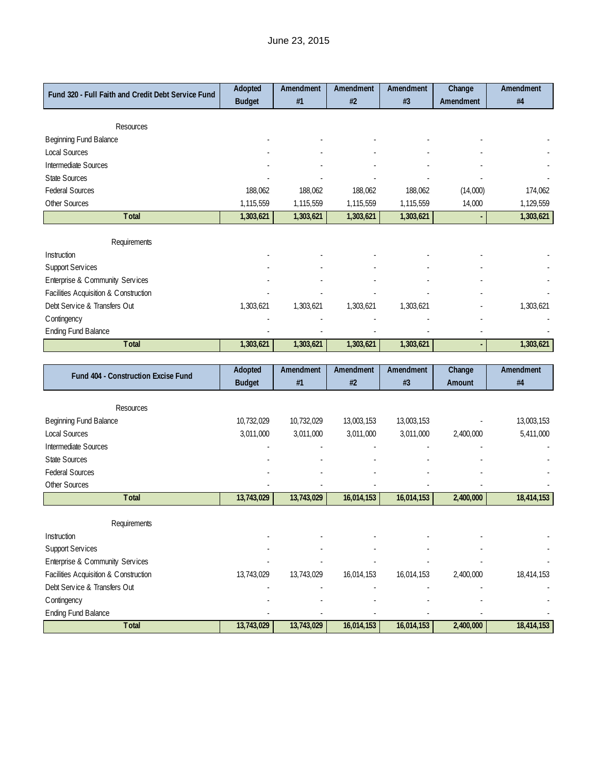| Fund 320 - Full Faith and Credit Debt Service Fund | Adopted       | Amendment | Amendment | Amendment | Change    | Amendment |
|----------------------------------------------------|---------------|-----------|-----------|-----------|-----------|-----------|
|                                                    | <b>Budget</b> | #1        | #2        | #3        | Amendment | #4        |
|                                                    |               |           |           |           |           |           |
| Resources                                          |               |           |           |           |           |           |
| Beginning Fund Balance                             |               |           |           |           |           |           |
| <b>Local Sources</b>                               |               |           |           |           |           |           |
| Intermediate Sources                               |               |           |           |           |           |           |
| <b>State Sources</b>                               |               |           |           |           |           |           |
| <b>Federal Sources</b>                             | 188,062       | 188,062   | 188,062   | 188,062   | (14,000)  | 174,062   |
| <b>Other Sources</b>                               | 1,115,559     | 1,115,559 | 1,115,559 | 1,115,559 | 14,000    | 1,129,559 |
| Total                                              | 1,303,621     | 1,303,621 | 1,303,621 | 1,303,621 |           | 1,303,621 |
|                                                    |               |           |           |           |           |           |
| Requirements                                       |               |           |           |           |           |           |
| Instruction                                        |               |           |           |           |           |           |
| Support Services                                   |               |           |           |           |           |           |
| Enterprise & Community Services                    |               |           |           |           |           |           |
| Facilities Acquisition & Construction              |               |           |           |           |           |           |
| Debt Service & Transfers Out                       | 1,303,621     | 1,303,621 | 1,303,621 | 1,303,621 |           | 1,303,621 |
| Contingency                                        |               |           |           |           |           |           |
| <b>Ending Fund Balance</b>                         |               |           |           |           |           |           |
| <b>T</b> otal                                      | 1,303,621     | 1,303,621 | 1,303,621 | 1,303,621 |           | 1,303,621 |
|                                                    |               |           |           |           |           |           |
| Fund 404 - Construction Excise Fund                | Adopted       | Amendment | Amendment | Amendment | Change    | Amendment |
|                                                    | <b>Budget</b> | #1        | #2        | #3        | Amount    | #4        |

| Resources                             |            |            |            |            |           |            |
|---------------------------------------|------------|------------|------------|------------|-----------|------------|
| Beginning Fund Balance                | 10,732,029 | 10,732,029 | 13,003,153 | 13,003,153 |           | 13,003,153 |
| <b>Local Sources</b>                  | 3,011,000  | 3,011,000  | 3,011,000  | 3,011,000  | 2,400,000 | 5,411,000  |
| Intermediate Sources                  |            |            |            |            |           |            |
| <b>State Sources</b>                  |            |            |            |            |           |            |
| <b>Federal Sources</b>                |            |            |            |            |           |            |
| Other Sources                         |            |            |            |            |           |            |
| Total                                 | 13,743,029 | 13,743,029 | 16,014,153 | 16,014,153 | 2,400,000 | 18,414,153 |
|                                       |            |            |            |            |           |            |
| Requirements                          |            |            |            |            |           |            |
| Instruction                           |            |            |            |            |           |            |
|                                       |            |            |            |            |           |            |
| <b>Support Services</b>               |            |            |            |            |           |            |
| Enterprise & Community Services       |            |            |            |            |           |            |
| Facilities Acquisition & Construction | 13,743,029 | 13,743,029 | 16,014,153 | 16,014,153 | 2,400,000 | 18,414,153 |
| Debt Service & Transfers Out          |            |            |            |            |           |            |
| C ontingency                          |            |            |            |            |           |            |
| <b>Ending Fund Balance</b>            |            |            |            |            |           |            |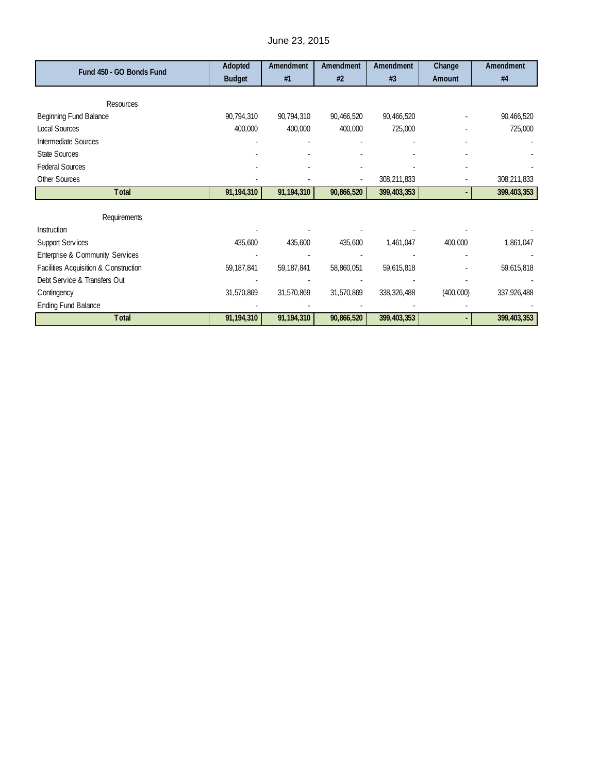| Fund 450 - GO Bonds Fund              | Adopted       | Amendment  | Amendment  | Amendment     | Change    | Amendment   |
|---------------------------------------|---------------|------------|------------|---------------|-----------|-------------|
|                                       | <b>Budget</b> | #1         | #2         | #3            | Amount    | #4          |
|                                       |               |            |            |               |           |             |
| Resources                             |               |            |            |               |           |             |
| Beginning Fund Balance                | 90,794,310    | 90,794,310 | 90,466,520 | 90,466,520    |           | 90,466,520  |
| <b>Local Sources</b>                  | 400,000       | 400,000    | 400,000    | 725,000       |           | 725,000     |
| Intermediate Sources                  |               |            |            |               |           |             |
| <b>State Sources</b>                  |               |            |            |               |           |             |
| <b>Federal Sources</b>                |               |            |            |               |           |             |
| Other Sources                         |               |            |            | 308,211,833   |           | 308,211,833 |
| Total                                 | 91,194,310    | 91,194,310 | 90,866,520 | 399,403,353   |           | 399,403,353 |
|                                       |               |            |            |               |           |             |
| Requirements                          |               |            |            |               |           |             |
| Instruction                           |               |            |            |               |           |             |
| <b>Support Services</b>               | 435,600       | 435,600    | 435,600    | 1,461,047     | 400,000   | 1,861,047   |
| Enterprise & Community Services       |               |            |            |               |           |             |
| Facilities Acquisition & Construction | 59, 187, 841  | 59,187,841 | 58,860,051 | 59,615,818    |           | 59,615,818  |
| Debt Service & Transfers Out          |               |            |            |               |           |             |
| C ontingency                          | 31,570,869    | 31,570,869 | 31,570,869 | 338, 326, 488 | (400,000) | 337,926,488 |
| <b>Ending Fund Balance</b>            |               |            |            |               |           |             |
| Total                                 | 91,194,310    | 91,194,310 | 90,866,520 | 399,403,353   |           | 399,403,353 |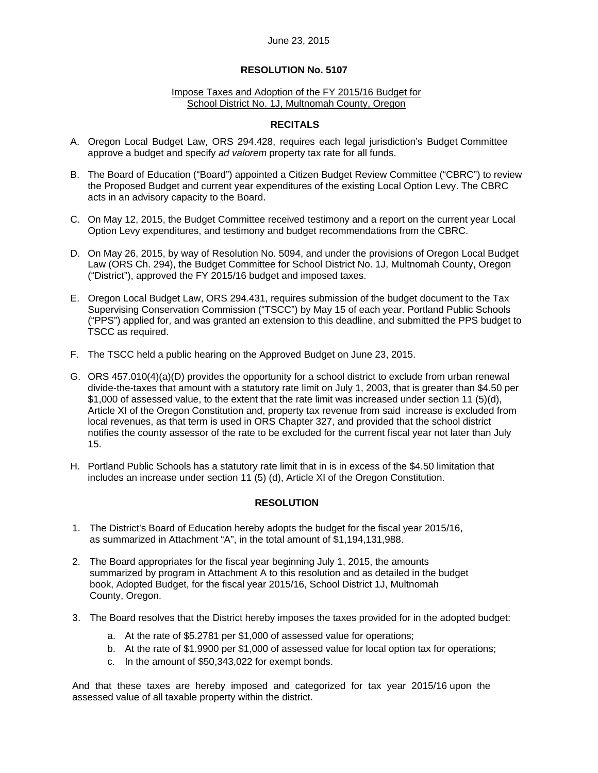## **RESOLUTION No. 5107**

#### Impose Taxes and Adoption of the FY 2015/16 Budget for School District No. 1J, Multnomah County, Oregon

## **RECITALS**

- A. Oregon Local Budget Law, ORS 294.428, requires each legal jurisdiction's Budget Committee approve a budget and specify *ad valorem* property tax rate for all funds.
- B. The Board of Education ("Board") appointed a Citizen Budget Review Committee ("CBRC") to review the Proposed Budget and current year expenditures of the existing Local Option Levy. The CBRC acts in an advisory capacity to the Board.
- C. On May 12, 2015, the Budget Committee received testimony and a report on the current year Local Option Levy expenditures, and testimony and budget recommendations from the CBRC.
- D. On May 26, 2015, by way of Resolution No. 5094, and under the provisions of Oregon Local Budget Law (ORS Ch. 294), the Budget Committee for School District No. 1J, Multnomah County, Oregon ("District"), approved the FY 2015/16 budget and imposed taxes.
- E. Oregon Local Budget Law, ORS 294.431, requires submission of the budget document to the Tax Supervising Conservation Commission ("TSCC") by May 15 of each year. Portland Public Schools ("PPS") applied for, and was granted an extension to this deadline, and submitted the PPS budget to TSCC as required.
- F. The TSCC held a public hearing on the Approved Budget on June 23, 2015.
- G. ORS 457.010(4)(a)(D) provides the opportunity for a school district to exclude from urban renewal divide-the-taxes that amount with a statutory rate limit on July 1, 2003, that is greater than \$4.50 per \$1,000 of assessed value, to the extent that the rate limit was increased under section 11 (5)(d), Article XI of the Oregon Constitution and, property tax revenue from said increase is excluded from local revenues, as that term is used in ORS Chapter 327, and provided that the school district notifies the county assessor of the rate to be excluded for the current fiscal year not later than July 15.
- H. Portland Public Schools has a statutory rate limit that in is in excess of the \$4.50 limitation that includes an increase under section 11 (5) (d), Article XI of the Oregon Constitution.

### **RESOLUTION**

- 1. The District's Board of Education hereby adopts the budget for the fiscal year 2015/16, as summarized in Attachment "A", in the total amount of \$1,194,131,988.
- 2. The Board appropriates for the fiscal year beginning July 1, 2015, the amounts summarized by program in Attachment A to this resolution and as detailed in the budget book, Adopted Budget, for the fiscal year 2015/16, School District 1J, Multnomah County, Oregon.
- 3. The Board resolves that the District hereby imposes the taxes provided for in the adopted budget:
	- a. At the rate of \$5.2781 per \$1,000 of assessed value for operations;
	- b. At the rate of \$1.9900 per \$1,000 of assessed value for local option tax for operations;
	- c. In the amount of \$50,343,022 for exempt bonds.

And that these taxes are hereby imposed and categorized for tax year 2015/16 upon the assessed value of all taxable property within the district.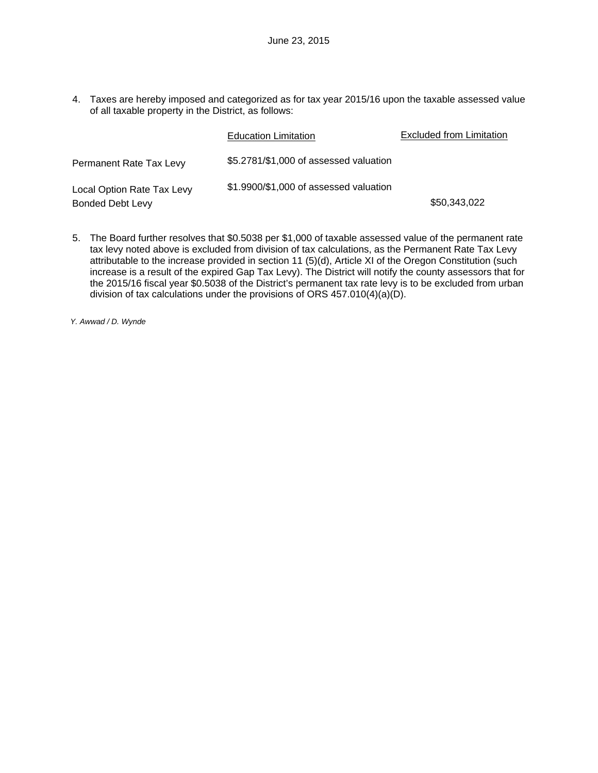4. Taxes are hereby imposed and categorized as for tax year 2015/16 upon the taxable assessed value of all taxable property in the District, as follows:

|                            | <b>Education Limitation</b>            | Excluded from Limitation |
|----------------------------|----------------------------------------|--------------------------|
| Permanent Rate Tax Levy    | \$5.2781/\$1,000 of assessed valuation |                          |
| Local Option Rate Tax Levy | \$1.9900/\$1,000 of assessed valuation |                          |
| <b>Bonded Debt Levy</b>    |                                        | \$50,343,022             |

5. The Board further resolves that \$0.5038 per \$1,000 of taxable assessed value of the permanent rate tax levy noted above is excluded from division of tax calculations, as the Permanent Rate Tax Levy attributable to the increase provided in section 11 (5)(d), Article XI of the Oregon Constitution (such increase is a result of the expired Gap Tax Levy). The District will notify the county assessors that for the 2015/16 fiscal year \$0.5038 of the District's permanent tax rate levy is to be excluded from urban division of tax calculations under the provisions of ORS 457.010(4)(a)(D).

*Y. Awwad / D. Wynde*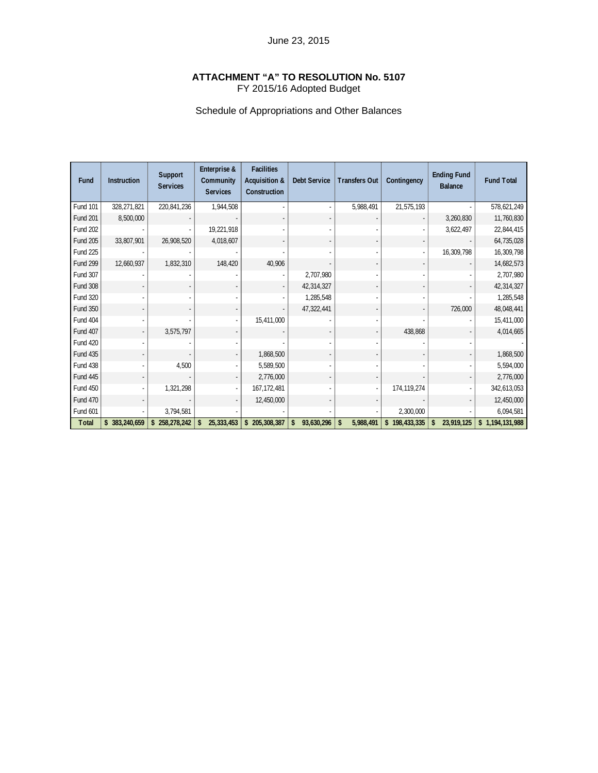## **ATTACHMENT "A" TO RESOLUTION No. 5107**  FY 2015/16 Adopted Budget

# Schedule of Appropriations and Other Balances

| Fund            | <b>Instruction</b> | Support<br><b>Services</b> | Enterprise &<br>Community<br><b>Services</b> | <b>Facilities</b><br>Acquisition &<br>Construction | <b>Debt Service</b> | <b>Transfers Out</b> | Contingency   | <b>Ending Fund</b><br><b>Balance</b> | <b>Fund Total</b> |
|-----------------|--------------------|----------------------------|----------------------------------------------|----------------------------------------------------|---------------------|----------------------|---------------|--------------------------------------|-------------------|
| <b>Fund 101</b> | 328,271,821        | 220,841,236                | 1,944,508                                    |                                                    |                     | 5,988,491            | 21,575,193    |                                      | 578,621,249       |
| <b>Fund 201</b> | 8,500,000          |                            |                                              |                                                    |                     |                      |               | 3,260,830                            | 11,760,830        |
| <b>Fund 202</b> |                    |                            | 19,221,918                                   |                                                    |                     |                      |               | 3,622,497                            | 22,844,415        |
| <b>Fund 205</b> | 33,807,901         | 26,908,520                 | 4,018,607                                    |                                                    |                     |                      |               |                                      | 64,735,028        |
| <b>Fund 225</b> |                    |                            |                                              |                                                    |                     |                      |               | 16,309,798                           | 16,309,798        |
| <b>Fund 299</b> | 12,660,937         | 1,832,310                  | 148,420                                      | 40,906                                             |                     |                      |               |                                      | 14,682,573        |
| Fund 307        |                    |                            |                                              |                                                    | 2,707,980           |                      |               |                                      | 2,707,980         |
| <b>Fund 308</b> |                    |                            |                                              |                                                    | 42,314,327          |                      |               |                                      | 42,314,327        |
| <b>Fund 320</b> |                    |                            |                                              |                                                    | 1,285,548           |                      |               |                                      | 1,285,548         |
| <b>Fund 350</b> |                    |                            |                                              |                                                    | 47,322,441          |                      |               | 726,000                              | 48,048,441        |
| <b>Fund 404</b> |                    |                            |                                              | 15,411,000                                         |                     |                      |               |                                      | 15,411,000        |
| Fund 407        |                    | 3,575,797                  |                                              |                                                    |                     |                      | 438,868       |                                      | 4,014,665         |
| <b>Fund 420</b> |                    |                            |                                              |                                                    |                     |                      |               |                                      |                   |
| <b>Fund 435</b> |                    |                            |                                              | 1,868,500                                          |                     |                      |               |                                      | 1,868,500         |
| <b>Fund 438</b> |                    | 4,500                      |                                              | 5,589,500                                          |                     |                      |               |                                      | 5,594,000         |
| <b>Fund 445</b> |                    |                            |                                              | 2,776,000                                          |                     |                      |               |                                      | 2,776,000         |
| <b>Fund 450</b> |                    | 1,321,298                  |                                              | 167, 172, 481                                      |                     |                      | 174, 119, 274 |                                      | 342,613,053       |
| <b>Fund 470</b> |                    |                            |                                              | 12,450,000                                         |                     |                      |               |                                      | 12,450,000        |
| Fund 601        |                    | 3,794,581                  |                                              |                                                    |                     |                      | 2,300,000     |                                      | 6,094,581         |
| Total           | \$ 383,240,659     | 258,278,242<br>\$          | 25, 333, 453<br>\$                           | \$205,308,387                                      | 93,630,296<br>\$    | 5,988,491<br>\$      | \$198,433,335 | \$<br>23,919,125                     | \$1,194,131,988   |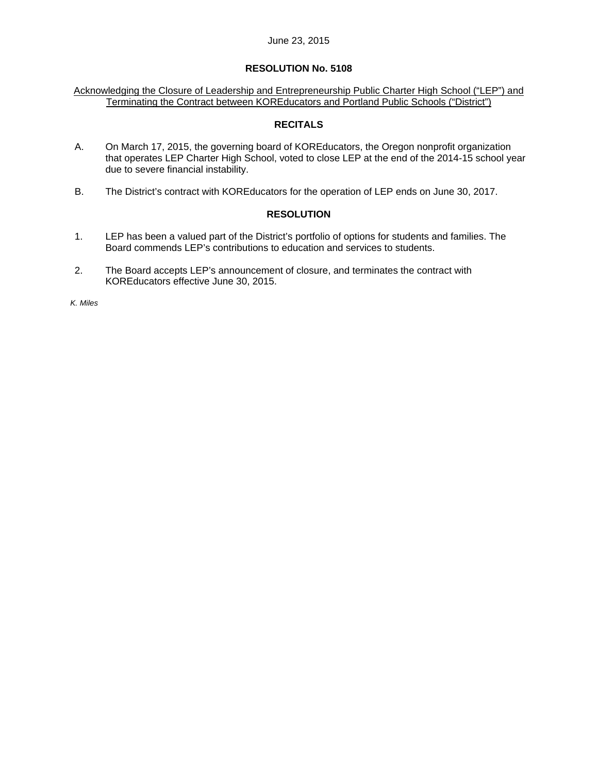### **RESOLUTION No. 5108**

Acknowledging the Closure of Leadership and Entrepreneurship Public Charter High School ("LEP") and Terminating the Contract between KOREducators and Portland Public Schools ("District")

### **RECITALS**

- A. On March 17, 2015, the governing board of KOREducators, the Oregon nonprofit organization that operates LEP Charter High School, voted to close LEP at the end of the 2014-15 school year due to severe financial instability.
- B. The District's contract with KOREducators for the operation of LEP ends on June 30, 2017.

## **RESOLUTION**

- 1. LEP has been a valued part of the District's portfolio of options for students and families. The Board commends LEP's contributions to education and services to students.
- 2. The Board accepts LEP's announcement of closure, and terminates the contract with KOREducators effective June 30, 2015.

*K. Miles*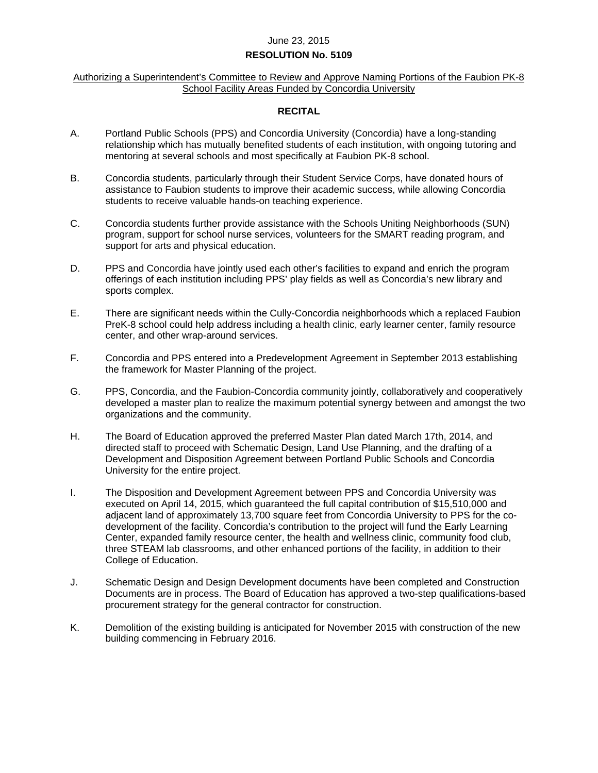### **RESOLUTION No. 5109**

### Authorizing a Superintendent's Committee to Review and Approve Naming Portions of the Faubion PK-8 School Facility Areas Funded by Concordia University

### **RECITAL**

- A. Portland Public Schools (PPS) and Concordia University (Concordia) have a long-standing relationship which has mutually benefited students of each institution, with ongoing tutoring and mentoring at several schools and most specifically at Faubion PK-8 school.
- B. Concordia students, particularly through their Student Service Corps, have donated hours of assistance to Faubion students to improve their academic success, while allowing Concordia students to receive valuable hands-on teaching experience.
- C. Concordia students further provide assistance with the Schools Uniting Neighborhoods (SUN) program, support for school nurse services, volunteers for the SMART reading program, and support for arts and physical education.
- D. PPS and Concordia have jointly used each other's facilities to expand and enrich the program offerings of each institution including PPS' play fields as well as Concordia's new library and sports complex.
- E. There are significant needs within the Cully-Concordia neighborhoods which a replaced Faubion PreK-8 school could help address including a health clinic, early learner center, family resource center, and other wrap-around services.
- F. Concordia and PPS entered into a Predevelopment Agreement in September 2013 establishing the framework for Master Planning of the project.
- G. PPS, Concordia, and the Faubion-Concordia community jointly, collaboratively and cooperatively developed a master plan to realize the maximum potential synergy between and amongst the two organizations and the community.
- H. The Board of Education approved the preferred Master Plan dated March 17th, 2014, and directed staff to proceed with Schematic Design, Land Use Planning, and the drafting of a Development and Disposition Agreement between Portland Public Schools and Concordia University for the entire project.
- I. The Disposition and Development Agreement between PPS and Concordia University was executed on April 14, 2015, which guaranteed the full capital contribution of \$15,510,000 and adjacent land of approximately 13,700 square feet from Concordia University to PPS for the codevelopment of the facility. Concordia's contribution to the project will fund the Early Learning Center, expanded family resource center, the health and wellness clinic, community food club, three STEAM lab classrooms, and other enhanced portions of the facility, in addition to their College of Education.
- J. Schematic Design and Design Development documents have been completed and Construction Documents are in process. The Board of Education has approved a two-step qualifications-based procurement strategy for the general contractor for construction.
- K. Demolition of the existing building is anticipated for November 2015 with construction of the new building commencing in February 2016.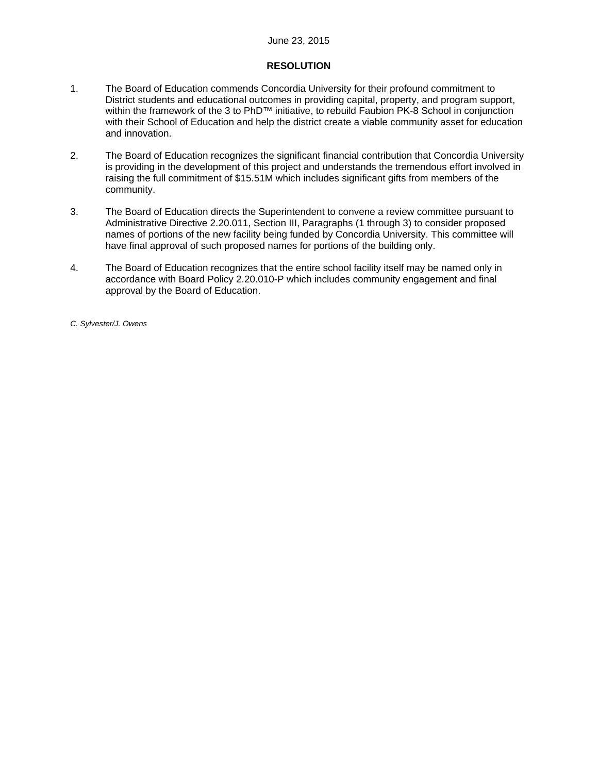## **RESOLUTION**

- 1. The Board of Education commends Concordia University for their profound commitment to District students and educational outcomes in providing capital, property, and program support, within the framework of the 3 to PhD™ initiative, to rebuild Faubion PK-8 School in conjunction with their School of Education and help the district create a viable community asset for education and innovation.
- 2. The Board of Education recognizes the significant financial contribution that Concordia University is providing in the development of this project and understands the tremendous effort involved in raising the full commitment of \$15.51M which includes significant gifts from members of the community.
- 3. The Board of Education directs the Superintendent to convene a review committee pursuant to Administrative Directive 2.20.011, Section III, Paragraphs (1 through 3) to consider proposed names of portions of the new facility being funded by Concordia University. This committee will have final approval of such proposed names for portions of the building only.
- 4. The Board of Education recognizes that the entire school facility itself may be named only in accordance with Board Policy 2.20.010-P which includes community engagement and final approval by the Board of Education.

*C. Sylvester/J. Owens*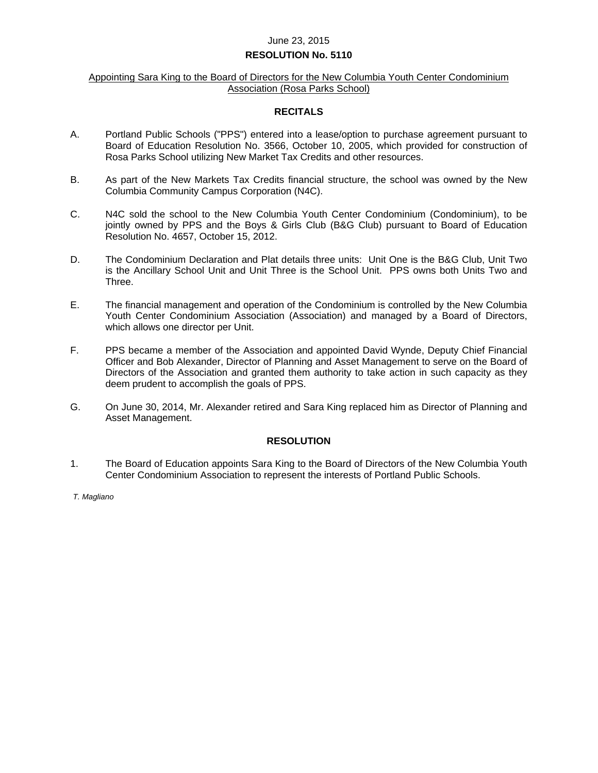### **RESOLUTION No. 5110**

### Appointing Sara King to the Board of Directors for the New Columbia Youth Center Condominium Association (Rosa Parks School)

#### **RECITALS**

- A. Portland Public Schools ("PPS") entered into a lease/option to purchase agreement pursuant to Board of Education Resolution No. 3566, October 10, 2005, which provided for construction of Rosa Parks School utilizing New Market Tax Credits and other resources.
- B. As part of the New Markets Tax Credits financial structure, the school was owned by the New Columbia Community Campus Corporation (N4C).
- C. N4C sold the school to the New Columbia Youth Center Condominium (Condominium), to be jointly owned by PPS and the Boys & Girls Club (B&G Club) pursuant to Board of Education Resolution No. 4657, October 15, 2012.
- D. The Condominium Declaration and Plat details three units: Unit One is the B&G Club, Unit Two is the Ancillary School Unit and Unit Three is the School Unit. PPS owns both Units Two and Three.
- E. The financial management and operation of the Condominium is controlled by the New Columbia Youth Center Condominium Association (Association) and managed by a Board of Directors, which allows one director per Unit.
- F. PPS became a member of the Association and appointed David Wynde, Deputy Chief Financial Officer and Bob Alexander, Director of Planning and Asset Management to serve on the Board of Directors of the Association and granted them authority to take action in such capacity as they deem prudent to accomplish the goals of PPS.
- G. On June 30, 2014, Mr. Alexander retired and Sara King replaced him as Director of Planning and Asset Management.

### **RESOLUTION**

1. The Board of Education appoints Sara King to the Board of Directors of the New Columbia Youth Center Condominium Association to represent the interests of Portland Public Schools.

*T. Magliano*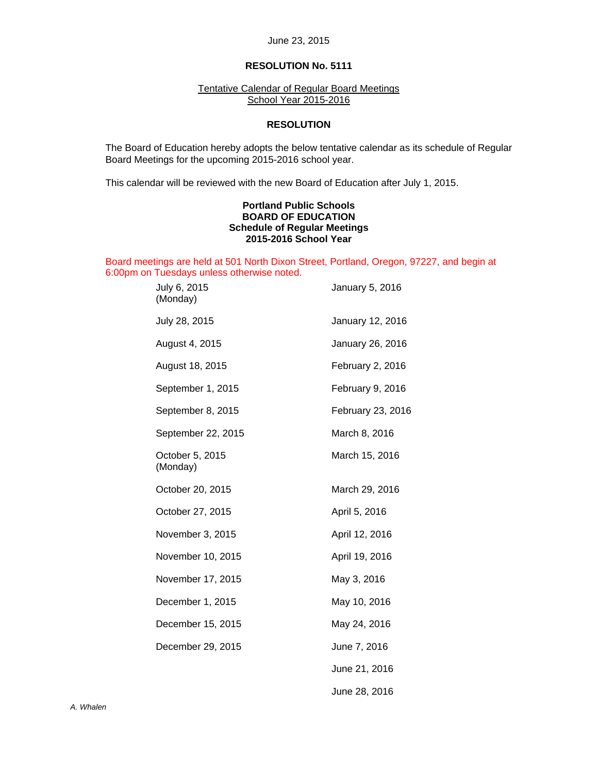## **RESOLUTION No. 5111**

### Tentative Calendar of Regular Board Meetings School Year 2015-2016

### **RESOLUTION**

 The Board of Education hereby adopts the below tentative calendar as its schedule of Regular Board Meetings for the upcoming 2015-2016 school year.

This calendar will be reviewed with the new Board of Education after July 1, 2015.

### **Portland Public Schools BOARD OF EDUCATION Schedule of Regular Meetings 2015-2016 School Year**

Board meetings are held at 501 North Dixon Street, Portland, Oregon, 97227, and begin at 6:00pm on Tuesdays unless otherwise noted.

| July 6, 2015<br>(Monday)    | January 5, 2016   |
|-----------------------------|-------------------|
| July 28, 2015               | January 12, 2016  |
| August 4, 2015              | January 26, 2016  |
| August 18, 2015             | February 2, 2016  |
| September 1, 2015           | February 9, 2016  |
| September 8, 2015           | February 23, 2016 |
| September 22, 2015          | March 8, 2016     |
| October 5, 2015<br>(Monday) | March 15, 2016    |
| October 20, 2015            | March 29, 2016    |
| October 27, 2015            | April 5, 2016     |
| November 3, 2015            | April 12, 2016    |
| November 10, 2015           | April 19, 2016    |
| November 17, 2015           | May 3, 2016       |
| December 1, 2015            | May 10, 2016      |
| December 15, 2015           | May 24, 2016      |
| December 29, 2015           | June 7, 2016      |
|                             | June 21, 2016     |
|                             | June 28, 2016     |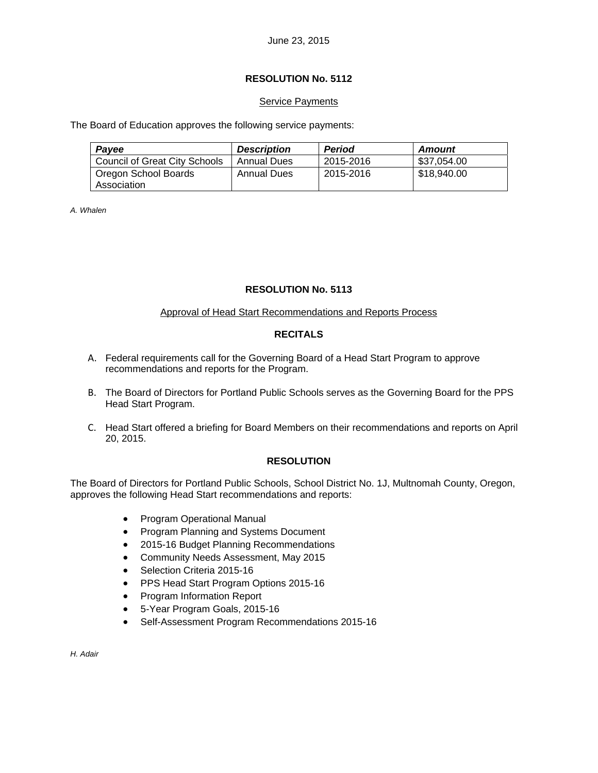## **RESOLUTION No. 5112**

## **Service Payments**

The Board of Education approves the following service payments:

| <b>Description</b> | <b>Period</b> | Amount      |
|--------------------|---------------|-------------|
| Annual Dues        | 2015-2016     | \$37,054.00 |
| Annual Dues        | 2015-2016     | \$18,940.00 |
|                    |               |             |

*A. Whalen* 

## **RESOLUTION No. 5113**

## Approval of Head Start Recommendations and Reports Process

## **RECITALS**

- A. Federal requirements call for the Governing Board of a Head Start Program to approve recommendations and reports for the Program.
- B. The Board of Directors for Portland Public Schools serves as the Governing Board for the PPS Head Start Program.
- C. Head Start offered a briefing for Board Members on their recommendations and reports on April 20, 2015.

## **RESOLUTION**

The Board of Directors for Portland Public Schools, School District No. 1J, Multnomah County, Oregon, approves the following Head Start recommendations and reports:

- Program Operational Manual
- Program Planning and Systems Document
- 2015-16 Budget Planning Recommendations
- Community Needs Assessment, May 2015
- Selection Criteria 2015-16
- PPS Head Start Program Options 2015-16
- Program Information Report
- 5-Year Program Goals, 2015-16
- Self-Assessment Program Recommendations 2015-16

*H. Adair*